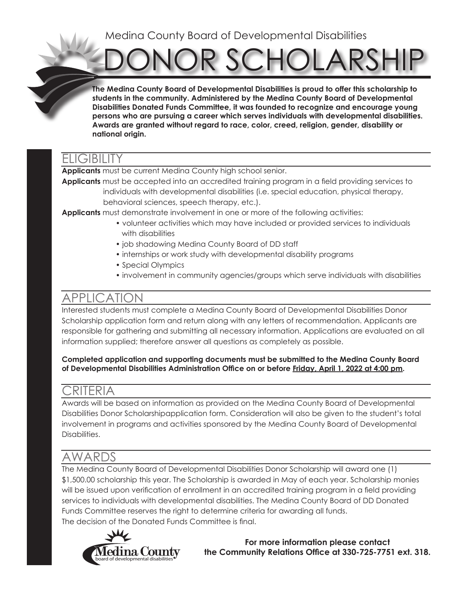## Medina County Board of Developmental Disabilities

DR SCHOLARSHIF

**The Medina County Board of Developmental Disabilities is proud to offer this scholarship to students in the community. Administered by the Medina County Board of Developmental Disabilities Donated Funds Committee, it was founded to recognize and encourage young persons who are pursuing a career which serves individuals with developmental disabilities. Awards are granted without regard to race, color, creed, religion, gender, disability or national origin.**

## ELIGIBILITY

**Applicants** must be current Medina County high school senior.

**Applicants** must be accepted into an accredited training program in a field providing services to individuals with developmental disabilities (i.e. special education, physical therapy, behavioral sciences, speech therapy, etc.).

**Applicants** must demonstrate involvement in one or more of the following activities:

- volunteer activities which may have included or provided services to individuals with disabilities
- job shadowing Medina County Board of DD staff
- internships or work study with developmental disability programs
- Special Olympics
- involvement in community agencies/groups which serve individuals with disabilities

# APPLICATION

Interested students must complete a Medina County Board of Developmental Disabilities Donor Scholarship application form and return along with any letters of recommendation. Applicants are responsible for gathering and submitting all necessary information. Applications are evaluated on all information supplied; therefore answer all questions as completely as possible.

#### **Completed application and supporting documents must be submitted to the Medina County Board of Developmental Disabilities Administration Office on or before Friday, April 1, 2022 at 4:00 pm.**

## CRITERIA

Awards will be based on information as provided on the Medina County Board of Developmental Disabilities Donor Scholarshipapplication form. Consideration will also be given to the student's total involvement in programs and activities sponsored by the Medina County Board of Developmental Disabilities.

# AWARDS

The Medina County Board of Developmental Disabilities Donor Scholarship will award one (1) \$1,500.00 scholarship this year. The Scholarship is awarded in May of each year. Scholarship monies will be issued upon verification of enrollment in an accredited training program in a field providing services to individuals with developmental disabilities. The Medina County Board of DD Donated Funds Committee reserves the right to determine criteria for awarding all funds. The decision of the Donated Funds Committee is final.



**For more information please contact the Community Relations Office at 330-725-7751 ext. 318.**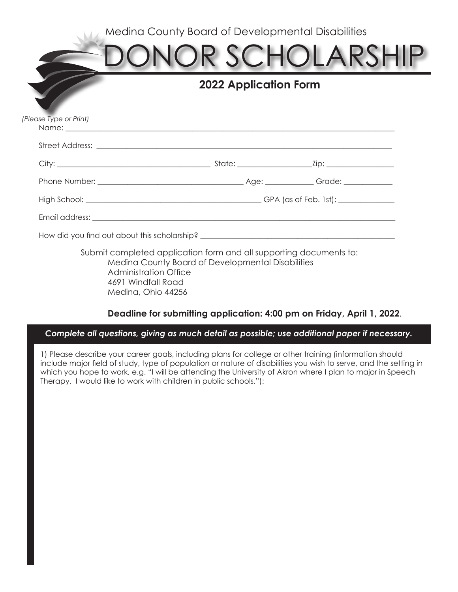Medina County Board of Developmental Disabilities

|                                                                                                                                                                                                                                     |                                                                                                                         | ONOR SCHOLARSHI |
|-------------------------------------------------------------------------------------------------------------------------------------------------------------------------------------------------------------------------------------|-------------------------------------------------------------------------------------------------------------------------|-----------------|
|                                                                                                                                                                                                                                     | <b>2022 Application Form</b>                                                                                            |                 |
| (Please Type or Print)                                                                                                                                                                                                              |                                                                                                                         |                 |
| Street Address: <u>The Communication</u> Communication of the Communication of the Communication of the Communication of the Communication of the Communication of the Communication of the Communication of the Communication of t |                                                                                                                         |                 |
|                                                                                                                                                                                                                                     |                                                                                                                         |                 |
|                                                                                                                                                                                                                                     |                                                                                                                         |                 |
|                                                                                                                                                                                                                                     |                                                                                                                         |                 |
|                                                                                                                                                                                                                                     |                                                                                                                         |                 |
| How did you find out about this scholarship? ___________________________________                                                                                                                                                    |                                                                                                                         |                 |
| <b>Administration Office</b><br>4691 Windfall Road<br>Medina, Ohio 44256                                                                                                                                                            | Submit completed application form and all supporting documents to:<br>Medina County Board of Developmental Disabilities |                 |

#### **Deadline for submitting application: 4:00 pm on Friday, April 1, 2022**.

#### *Complete all questions, giving as much detail as possible; use additional paper if necessary.*

1) Please describe your career goals, including plans for college or other training (information should include major field of study, type of population or nature of disabilities you wish to serve, and the setting in which you hope to work, e.g. "I will be attending the University of Akron where I plan to major in Speech Therapy. I would like to work with children in public schools."):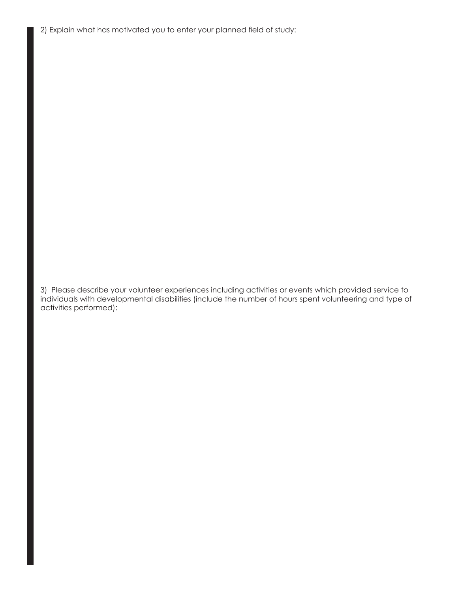2) Explain what has motivated you to enter your planned field of study:

3) Please describe your volunteer experiences including activities or events which provided service to individuals with developmental disabilities (include the number of hours spent volunteering and type of activities performed):